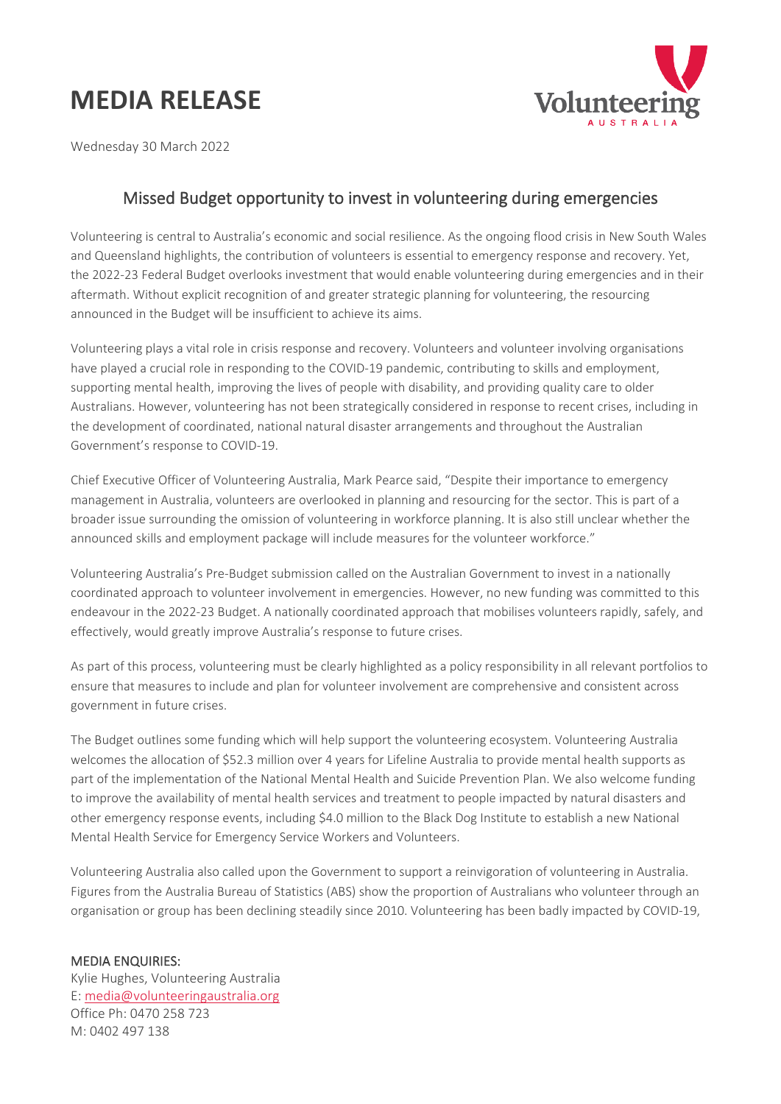## **MEDIA RELEASE**



Wednesday 30 March 2022

## Missed Budget opportunity to invest in volunteering during emergencies

Volunteering is central to Australia's economic and social resilience. As the ongoing flood crisis in New South Wales and Queensland highlights, the contribution of volunteers is essential to emergency response and recovery. Yet, the 2022-23 Federal Budget overlooks investment that would enable volunteering during emergencies and in their aftermath. Without explicit recognition of and greater strategic planning for volunteering, the resourcing announced in the Budget will be insufficient to achieve its aims.

Volunteering plays a vital role in crisis response and recovery. Volunteers and volunteer involving organisations have played a crucial role in responding to the COVID-19 pandemic, contributing to skills and employment, supporting mental health, improving the lives of people with disability, and providing quality care to older Australians. However, volunteering has not been strategically considered in response to recent crises, including in the development of coordinated, national natural disaster arrangements and throughout the Australian Government's response to COVID-19.

Chief Executive Officer of Volunteering Australia, Mark Pearce said, "Despite their importance to emergency management in Australia, volunteers are overlooked in planning and resourcing for the sector. This is part of a broader issue surrounding the omission of volunteering in workforce planning. It is also still unclear whether the announced skills and employment package will include measures for the volunteer workforce."

Volunteering Australia's Pre-Budget submission called on the Australian Government to invest in a nationally coordinated approach to volunteer involvement in emergencies. However, no new funding was committed to this endeavour in the 2022-23 Budget. A nationally coordinated approach that mobilises volunteers rapidly, safely, and effectively, would greatly improve Australia's response to future crises.

As part of this process, volunteering must be clearly highlighted as a policy responsibility in all relevant portfolios to ensure that measures to include and plan for volunteer involvement are comprehensive and consistent across government in future crises.

The Budget outlines some funding which will help support the volunteering ecosystem. Volunteering Australia welcomes the allocation of \$52.3 million over 4 years for Lifeline Australia to provide mental health supports as part of the implementation of the National Mental Health and Suicide Prevention Plan. We also welcome funding to improve the availability of mental health services and treatment to people impacted by natural disasters and other emergency response events, including \$4.0 million to the Black Dog Institute to establish a new National Mental Health Service for Emergency Service Workers and Volunteers.

Volunteering Australia also called upon the Government to support a reinvigoration of volunteering in Australia. Figures from the Australia Bureau of Statistics (ABS) show the proportion of Australians who volunteer through an organisation or group has been declining steadily since 2010. Volunteering has been badly impacted by COVID-19,

## MEDIA ENQUIRIES:

Kylie Hughes, Volunteering Australia E: [media@volunteeringaustralia.org](mailto:media@volunteeringaustralia.org) Office Ph: 0470 258 723 M: 0402 497 138